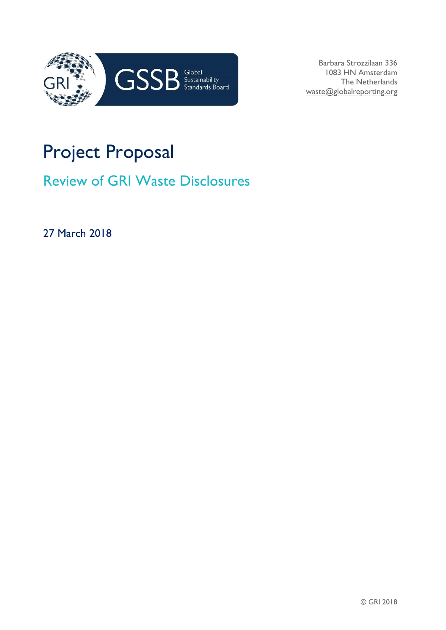

Barbara Strozzilaan 336 1083 HN Amsterdam The Netherlands waste@globalreporting.org

## Project Proposal

Review of GRI Waste Disclosures

27 March 2018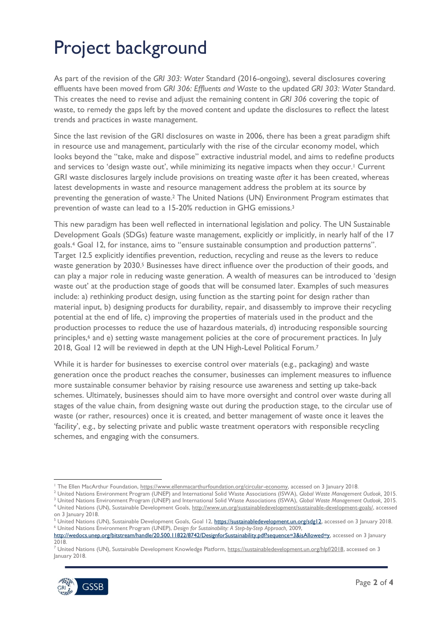## Project background

As part of the revision of the *GRI 303: Water* Standard (2016-ongoing), several disclosures covering effluents have been moved from *GRI 306: Effluents and Waste* to the updated *GRI 303: Water* Standard. This creates the need to revise and adjust the remaining content in *GRI 306* covering the topic of waste, to remedy the gaps left by the moved content and update the disclosures to reflect the latest trends and practices in waste management.

Since the last revision of the GRI disclosures on waste in 2006, there has been a great paradigm shift in resource use and management, particularly with the rise of the circular economy model, which looks beyond the "take, make and dispose" extractive industrial model, and aims to redefine products and services to 'design waste out', while minimizing its negative impacts when they occur.<sup>1</sup> Current GRI waste disclosures largely include provisions on treating waste *after* it has been created, whereas latest developments in waste and resource management address the problem at its source by preventing the generation of waste.<sup>2</sup> The United Nations (UN) Environment Program estimates that prevention of waste can lead to a 15-20% reduction in GHG emissions.<sup>3</sup>

This new paradigm has been well reflected in international legislation and policy. The UN Sustainable Development Goals (SDGs) feature waste management, explicitly or implicitly, in nearly half of the 17 goals.<sup>4</sup> Goal 12, for instance, aims to "ensure sustainable consumption and production patterns". Target 12.5 explicitly identifies prevention, reduction, recycling and reuse as the levers to reduce waste generation by 2030.<sup>5</sup> Businesses have direct influence over the production of their goods, and can play a major role in reducing waste generation. A wealth of measures can be introduced to 'design waste out' at the production stage of goods that will be consumed later. Examples of such measures include: a) rethinking product design, using function as the starting point for design rather than material input, b) designing products for durability, repair, and disassembly to improve their recycling potential at the end of life, c) improving the properties of materials used in the product and the production processes to reduce the use of hazardous materials, d) introducing responsible sourcing principles, <sup>6</sup> and e) setting waste management policies at the core of procurement practices. In July 2018, Goal 12 will be reviewed in depth at the UN High-Level Political Forum.<sup>7</sup>

While it is harder for businesses to exercise control over materials (e.g., packaging) and waste generation once the product reaches the consumer, businesses can implement measures to influence more sustainable consumer behavior by raising resource use awareness and setting up take-back schemes. Ultimately, businesses should aim to have more oversight and control over waste during all stages of the value chain, from designing waste out during the production stage, to the circular use of waste (or rather, resources) once it is created, and better management of waste once it leaves the 'facility', e.g., by selecting private and public waste treatment operators with responsible recycling schemes, and engaging with the consumers.

<sup>7</sup> United Nations (UN), Sustainable Development Knowledge Platform, [https://sustainabledevelopment.un.org/hlpf/2018,](https://sustainabledevelopment.un.org/hlpf/2018) accessed on 3 January 2018.



**<sup>-</sup>**<sup>1</sup> The Ellen MacArthur Foundation[, https://www.ellenmacarthurfoundation.org/circular-economy,](https://www.ellenmacarthurfoundation.org/circular-economy) accessed on 3 January 2018.

<sup>2</sup> United Nations Environment Program (UNEP) and International Solid Waste Associations (ISWA), *Global Waste Management Outlook,* 2015. <sup>3</sup> United Nations Environment Program (UNEP) and International Solid Waste Associations (ISWA), *Global Waste Management Outlook,* 2015. <sup>4</sup> United Nations (UN), Sustainable Development Goals[, http://www.un.org/sustainabledevelopment/sustainable-development-goals/,](http://www.un.org/sustainabledevelopment/sustainable-development-goals/) accessed

on 3 January 2018. <sup>5</sup> United Nations (UN), Sustainable Development Goals, Goal 12, [https://sustainabledevelopment.un.org/sdg12,](https://sustainabledevelopment.un.org/sdg12) accessed on 3 January 2018. <sup>6</sup> United Nations Environment Program (UNEP), *Design for Sustainability: A Step-by-Step Approach,* 2009,

[http://wedocs.unep.org/bitstream/handle/20.500.11822/8742/DesignforSustainability.pdf?sequence=3&isAllowed=y,](http://wedocs.unep.org/bitstream/handle/20.500.11822/8742/DesignforSustainability.pdf?sequence=3&isAllowed=y) accessed on 3 January 2018.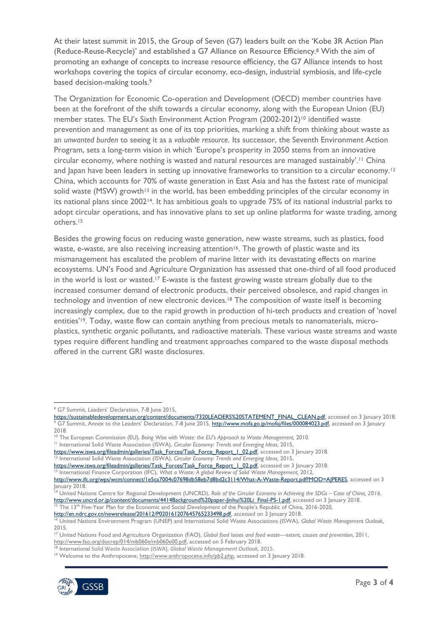At their latest summit in 2015, the Group of Seven (G7) leaders built on the 'Kobe 3R Action Plan (Reduce-Reuse-Recycle)' and established a G7 Alliance on Resource Efficiency.<sup>8</sup> With the aim of promoting an exhange of concepts to increase resource efficiency, the G7 Alliance intends to host workshops covering the topics of circular economy, eco-design, industrial symbiosis, and life-cycle based decision-making tools.<sup>9</sup>

The Organization for Economic Co-operation and Development (OECD) member countries have been at the forefront of the shift towards a circular economy, along with the European Union (EU) member states. The EU's Sixth Environment Action Program (2002-2012)<sup>10</sup> identified waste prevention and management as one of its top priorities, marking a shift from thinking about waste as an *unwanted burden* to seeing it as a *valuable resource*. Its successor, the Seventh Environment Action Program, sets a long-term vision in which 'Europe's prosperity in 2050 stems from an innovative circular economy, where nothing is wasted and natural resources are managed sustainably'. <sup>11</sup> China and Japan have been leaders in setting up innovative frameworks to transition to a circular economy.<sup>12</sup> China, which accounts for 70% of waste generation in East Asia and has the fastest rate of municipal solid waste (MSW) growth<sup>13</sup> in the world, has been embedding principles of the circular economy in its national plans since 200214. It has ambitious goals to upgrade 75% of its national industrial parks to adopt circular operations, and has innovative plans to set up online platforms for waste trading, among others. 15

Besides the growing focus on reducing waste generation, new waste streams, such as plastics, food waste, e-waste, are also receiving increasing attention<sup>16</sup>. The growth of plastic waste and its mismanagement has escalated the problem of marine litter with its devastating effects on marine ecosystems. UN's Food and Agriculture Organization has assessed that one-third of all food produced in the world is lost or wasted.<sup>17</sup> E-waste is the fastest growing waste stream globally due to the increased consumer demand of electronic products, their perceived obsolesce, and rapid changes in technology and invention of new electronic devices.<sup>18</sup> The composition of waste itself is becoming increasingly complex, due to the rapid growth in production of hi-tech products and creation of 'novel entities'<sup>19</sup>. Today, waste flow can contain anything from precious metals to nanomaterials, microplastics, synthetic organic pollutants, and radioactive materials. These various waste streams and waste types require different handling and treatment approaches compared to the waste disposal methods offered in the current GRI waste disclosures.

<sup>&</sup>lt;sup>19</sup> Welcome to the Anthropocene[, http://www.anthropocene.info/pb2.php,](http://www.anthropocene.info/pb2.php) accessed on 3 January 2018.



**<sup>.</sup>** <sup>8</sup> G7 Summit, Leaders' Declaration, 7-8 June 2015,

[https://sustainabledevelopment.un.org/content/documents/7320LEADERS%20STATEMENT\\_FINAL\\_CLEAN.pdf,](https://sustainabledevelopment.un.org/content/documents/7320LEADERS%20STATEMENT_FINAL_CLEAN.pdf) accessed on 3 January 2018. <sup>9</sup> G7 Summit, Annex to the Leaders' Declaration, 7-8 June 2015, [http://www.mofa.go.jp/mofaj/files/000084023.pdf,](http://www.mofa.go.jp/mofaj/files/000084023.pdf) accessed on 3 January 2018.

<sup>&</sup>lt;sup>10</sup> The European Commission (EU), Being Wise with Waste: the EU's Approach to Waste Management, 2010. <sup>11</sup> International Solid Waste Association (ISWA), *Circular Economy: Trends and Emerging Ideas,* 2015,

[https://www.iswa.org/fileadmin/galleries/Task\\_Forces/Task\\_Force\\_Report\\_1\\_02.pdf,](https://www.iswa.org/fileadmin/galleries/Task_Forces/Task_Force_Report_1_02.pdf) accessed on 3 January 2018.

<sup>12</sup> International Solid Waste Association (ISWA), *Circular Economy: Trends and Emerging Ideas,* 2015,

[https://www.iswa.org/fileadmin/galleries/Task\\_Forces/Task\\_Force\\_Report\\_1\\_02.pdf,](https://www.iswa.org/fileadmin/galleries/Task_Forces/Task_Force_Report_1_02.pdf) accessed on 3 January 2018.

<sup>&</sup>lt;sup>13</sup> International Finance Corporation (IFC), *What a Waste: A global Review of Solid Waste Management*, 2012, [http://www.ifc.org/wps/wcm/connect/1e5ca7004c07698db58eb7d8bd2c3114/What-A-Waste-Report.pdf?MOD=AJPERES,](http://www.ifc.org/wps/wcm/connect/1e5ca7004c07698db58eb7d8bd2c3114/What-A-Waste-Report.pdf?MOD=AJPERES) accessed on 3

January 2018. <sup>14</sup> United Nations Centre for Regional Development (UNCRD), *Role of the Circular Economy in Achieving the SDGs – Case of China, 2016.*  [http://www.uncrd.or.jp/content/documents/4414Background%20paper-Jinhui%20Li\\_Final-PS-1.pdf,](http://www.uncrd.or.jp/content/documents/4414Background%20paper-Jinhui%20Li_Final-PS-1.pdf) accessed on 3 January 2018.

<sup>&</sup>lt;sup>15</sup> The 13<sup>th</sup> Five-Year Plan for the Economic and Social Development of the People's Republic of China, 2016-2020,

[http://en.ndrc.gov.cn/newsrelease/201612/P020161207645765233498.pdf,](http://en.ndrc.gov.cn/newsrelease/201612/P020161207645765233498.pdf) accessed on 3 January 2018.

<sup>16</sup> United Nations Environment Program (UNEP) and International Solid Waste Associations (ISWA), *Global Waste Management Outlook,* 2015.

<sup>17</sup> United Nations Food and Agriculture Organization (FAO), *Global food losses and food waste—extent, causes and prevention,* 2011, [http://www.fao.org/docrep/014/mb060e/mb060e00.pdf,](http://www.fao.org/docrep/014/mb060e/mb060e00.pdf) accessed on 5 February 2018.

<sup>18</sup> International Solid Waste Association (ISWA), *Global Waste Management Outlook,* 2015.